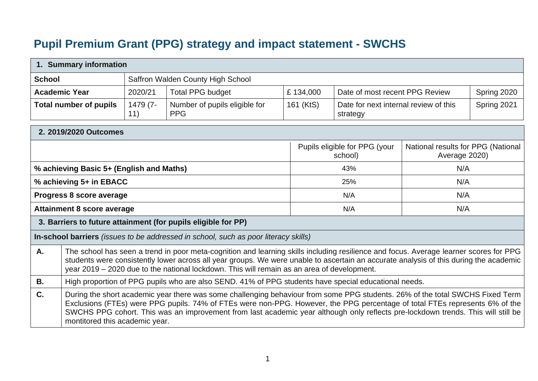## **Pupil Premium Grant (PPG) strategy and impact statement - SWCHS**

|                      | 1. Summary information                                                                                                                                                                                                                                                                                                                                                                                                             |                                   |                                                                                                                                                                                                                                                                                                                                                                              |           |                                                   |                                                     |             |  |  |
|----------------------|------------------------------------------------------------------------------------------------------------------------------------------------------------------------------------------------------------------------------------------------------------------------------------------------------------------------------------------------------------------------------------------------------------------------------------|-----------------------------------|------------------------------------------------------------------------------------------------------------------------------------------------------------------------------------------------------------------------------------------------------------------------------------------------------------------------------------------------------------------------------|-----------|---------------------------------------------------|-----------------------------------------------------|-------------|--|--|
| <b>School</b>        |                                                                                                                                                                                                                                                                                                                                                                                                                                    | Saffron Walden County High School |                                                                                                                                                                                                                                                                                                                                                                              |           |                                                   |                                                     |             |  |  |
| <b>Academic Year</b> |                                                                                                                                                                                                                                                                                                                                                                                                                                    | 2020/21                           | <b>Total PPG budget</b>                                                                                                                                                                                                                                                                                                                                                      | £134,000  | Date of most recent PPG Review                    |                                                     | Spring 2020 |  |  |
|                      | <b>Total number of pupils</b>                                                                                                                                                                                                                                                                                                                                                                                                      | 1479 (7-<br>11)                   | Number of pupils eligible for<br><b>PPG</b>                                                                                                                                                                                                                                                                                                                                  | 161 (KtS) | Date for next internal review of this<br>strategy |                                                     | Spring 2021 |  |  |
|                      | 2. 2019/2020 Outcomes                                                                                                                                                                                                                                                                                                                                                                                                              |                                   |                                                                                                                                                                                                                                                                                                                                                                              |           |                                                   |                                                     |             |  |  |
|                      |                                                                                                                                                                                                                                                                                                                                                                                                                                    |                                   |                                                                                                                                                                                                                                                                                                                                                                              |           | Pupils eligible for PPG (your<br>school)          | National results for PPG (National<br>Average 2020) |             |  |  |
|                      | % achieving Basic 5+ (English and Maths)                                                                                                                                                                                                                                                                                                                                                                                           |                                   |                                                                                                                                                                                                                                                                                                                                                                              |           | 43%                                               | N/A                                                 |             |  |  |
|                      | % achieving 5+ in EBACC                                                                                                                                                                                                                                                                                                                                                                                                            |                                   |                                                                                                                                                                                                                                                                                                                                                                              |           | 25%                                               | N/A                                                 |             |  |  |
|                      | Progress 8 score average                                                                                                                                                                                                                                                                                                                                                                                                           |                                   |                                                                                                                                                                                                                                                                                                                                                                              |           | N/A                                               | N/A                                                 |             |  |  |
|                      | <b>Attainment 8 score average</b>                                                                                                                                                                                                                                                                                                                                                                                                  |                                   |                                                                                                                                                                                                                                                                                                                                                                              |           | N/A                                               | N/A                                                 |             |  |  |
|                      |                                                                                                                                                                                                                                                                                                                                                                                                                                    |                                   | 3. Barriers to future attainment (for pupils eligible for PP)                                                                                                                                                                                                                                                                                                                |           |                                                   |                                                     |             |  |  |
|                      |                                                                                                                                                                                                                                                                                                                                                                                                                                    |                                   | In-school barriers (issues to be addressed in school, such as poor literacy skills)                                                                                                                                                                                                                                                                                          |           |                                                   |                                                     |             |  |  |
| A.                   |                                                                                                                                                                                                                                                                                                                                                                                                                                    |                                   | The school has seen a trend in poor meta-cognition and learning skills including resilience and focus. Average learner scores for PPG<br>students were consistently lower across all year groups. We were unable to ascertain an accurate analysis of this during the academic<br>year 2019 - 2020 due to the national lockdown. This will remain as an area of development. |           |                                                   |                                                     |             |  |  |
| <b>B.</b>            | High proportion of PPG pupils who are also SEND. 41% of PPG students have special educational needs.                                                                                                                                                                                                                                                                                                                               |                                   |                                                                                                                                                                                                                                                                                                                                                                              |           |                                                   |                                                     |             |  |  |
| C.                   | During the short academic year there was some challenging behaviour from some PPG students. 26% of the total SWCHS Fixed Term<br>Exclusions (FTEs) were PPG pupils. 74% of FTEs were non-PPG. However, the PPG percentage of total FTEs represents 6% of the<br>SWCHS PPG cohort. This was an improvement from last academic year although only reflects pre-lockdown trends. This will still be<br>montitored this academic year. |                                   |                                                                                                                                                                                                                                                                                                                                                                              |           |                                                   |                                                     |             |  |  |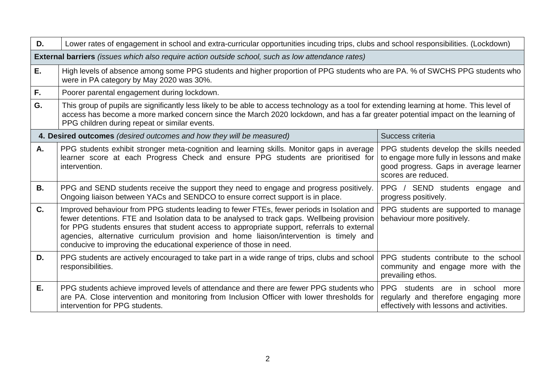| D.                                                                                                       | Lower rates of engagement in school and extra-curricular opportunities incuding trips, clubs and school responsibilities. (Lockdown)                                                                                                                                                                                                                                                                                                                    |                                                                                                                                                     |  |  |  |  |  |  |
|----------------------------------------------------------------------------------------------------------|---------------------------------------------------------------------------------------------------------------------------------------------------------------------------------------------------------------------------------------------------------------------------------------------------------------------------------------------------------------------------------------------------------------------------------------------------------|-----------------------------------------------------------------------------------------------------------------------------------------------------|--|--|--|--|--|--|
| <b>External barriers</b> (issues which also require action outside school, such as low attendance rates) |                                                                                                                                                                                                                                                                                                                                                                                                                                                         |                                                                                                                                                     |  |  |  |  |  |  |
| Ε.                                                                                                       | High levels of absence among some PPG students and higher proportion of PPG students who are PA. % of SWCHS PPG students who<br>were in PA category by May 2020 was 30%.                                                                                                                                                                                                                                                                                |                                                                                                                                                     |  |  |  |  |  |  |
| F.                                                                                                       | Poorer parental engagement during lockdown.                                                                                                                                                                                                                                                                                                                                                                                                             |                                                                                                                                                     |  |  |  |  |  |  |
| G.                                                                                                       | This group of pupils are significantly less likely to be able to access technology as a tool for extending learning at home. This level of<br>access has become a more marked concern since the March 2020 lockdown, and has a far greater potential impact on the learning of<br>PPG children during repeat or similar events.                                                                                                                         |                                                                                                                                                     |  |  |  |  |  |  |
|                                                                                                          | 4. Desired outcomes (desired outcomes and how they will be measured)                                                                                                                                                                                                                                                                                                                                                                                    | Success criteria                                                                                                                                    |  |  |  |  |  |  |
| Α.                                                                                                       | PPG students exhibit stronger meta-cognition and learning skills. Monitor gaps in average<br>learner score at each Progress Check and ensure PPG students are prioritised for<br>intervention.                                                                                                                                                                                                                                                          | PPG students develop the skills needed<br>to engage more fully in lessons and make<br>good progress. Gaps in average learner<br>scores are reduced. |  |  |  |  |  |  |
| <b>B.</b>                                                                                                | PPG and SEND students receive the support they need to engage and progress positively.<br>Ongoing liaison between YACs and SENDCO to ensure correct support is in place.                                                                                                                                                                                                                                                                                | PPG / SEND students engage and<br>progress positively.                                                                                              |  |  |  |  |  |  |
| C.                                                                                                       | Improved behaviour from PPG students leading to fewer FTEs, fewer periods in Isolation and<br>fewer detentions. FTE and Isolation data to be analysed to track gaps. Wellbeing provision<br>for PPG students ensures that student access to appropriate support, referrals to external<br>agencies, alternative curriculum provision and home liaison/intervention is timely and<br>conducive to improving the educational experience of those in need. | PPG students are supported to manage<br>behaviour more positively.                                                                                  |  |  |  |  |  |  |
| D.                                                                                                       | PPG students are actively encouraged to take part in a wide range of trips, clubs and school<br>responsibilities.                                                                                                                                                                                                                                                                                                                                       | PPG students contribute to the school<br>community and engage more with the<br>prevailing ethos.                                                    |  |  |  |  |  |  |
| Е.                                                                                                       | PPG students achieve improved levels of attendance and there are fewer PPG students who<br>are PA. Close intervention and monitoring from Inclusion Officer with lower thresholds for<br>intervention for PPG students.                                                                                                                                                                                                                                 | PPG students are<br>in school<br>more<br>regularly and therefore engaging more<br>effectively with lessons and activities.                          |  |  |  |  |  |  |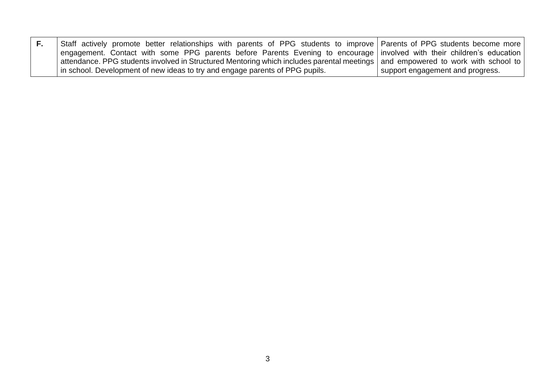| Staff actively promote better relationships with parents of PPG students to improve Parents of PPG students become more           |                                    |
|-----------------------------------------------------------------------------------------------------------------------------------|------------------------------------|
| engagement. Contact with some PPG parents before Parents Evening to encourage involved with their children's education            |                                    |
| attendance. PPG students involved in Structured Mentoring which includes parental meetings   and empowered to work with school to |                                    |
| in school. Development of new ideas to try and engage parents of PPG pupils.                                                      | I support engagement and progress. |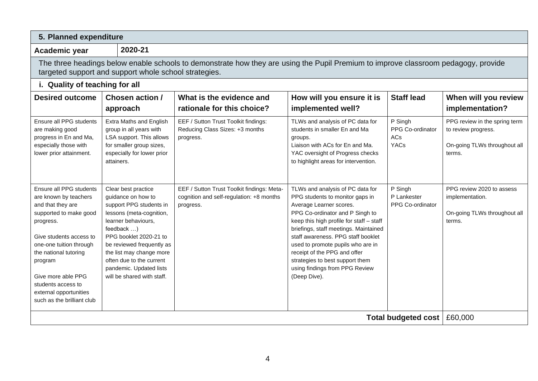| 5. Planned expenditure                                                                                                                                                                                                                                                                                     |                                                                                                                                                                                                                                                                                                               |                                                                                                     |                                                                                                                                                                                                                                                                                                                                                                                                                        |                                                   |                                                                                                |  |  |  |
|------------------------------------------------------------------------------------------------------------------------------------------------------------------------------------------------------------------------------------------------------------------------------------------------------------|---------------------------------------------------------------------------------------------------------------------------------------------------------------------------------------------------------------------------------------------------------------------------------------------------------------|-----------------------------------------------------------------------------------------------------|------------------------------------------------------------------------------------------------------------------------------------------------------------------------------------------------------------------------------------------------------------------------------------------------------------------------------------------------------------------------------------------------------------------------|---------------------------------------------------|------------------------------------------------------------------------------------------------|--|--|--|
| Academic year                                                                                                                                                                                                                                                                                              | 2020-21                                                                                                                                                                                                                                                                                                       |                                                                                                     |                                                                                                                                                                                                                                                                                                                                                                                                                        |                                                   |                                                                                                |  |  |  |
| The three headings below enable schools to demonstrate how they are using the Pupil Premium to improve classroom pedagogy, provide<br>targeted support and support whole school strategies.                                                                                                                |                                                                                                                                                                                                                                                                                                               |                                                                                                     |                                                                                                                                                                                                                                                                                                                                                                                                                        |                                                   |                                                                                                |  |  |  |
| i. Quality of teaching for all                                                                                                                                                                                                                                                                             |                                                                                                                                                                                                                                                                                                               |                                                                                                     |                                                                                                                                                                                                                                                                                                                                                                                                                        |                                                   |                                                                                                |  |  |  |
| <b>Desired outcome</b>                                                                                                                                                                                                                                                                                     | Chosen action /<br>approach                                                                                                                                                                                                                                                                                   | What is the evidence and<br>rationale for this choice?                                              | How will you ensure it is<br>implemented well?                                                                                                                                                                                                                                                                                                                                                                         | <b>Staff lead</b>                                 | When will you review<br>implementation?                                                        |  |  |  |
| Ensure all PPG students<br>are making good<br>progress in En and Ma,<br>especially those with<br>lower prior attainment.                                                                                                                                                                                   | Extra Maths and English<br>group in all years with<br>LSA support. This allows<br>for smaller group sizes,<br>especially for lower prior<br>attainers.                                                                                                                                                        | EEF / Sutton Trust Toolkit findings:<br>Reducing Class Sizes: +3 months<br>progress.                | TLWs and analysis of PC data for<br>students in smaller En and Ma<br>groups.<br>Liaison with ACs for En and Ma.<br>YAC oversight of Progress checks<br>to highlight areas for intervention.                                                                                                                                                                                                                            | P Singh<br>PPG Co-ordinator<br>ACs<br><b>YACs</b> | PPG review in the spring term<br>to review progress.<br>On-going TLWs throughout all<br>terms. |  |  |  |
| Ensure all PPG students<br>are known by teachers<br>and that they are<br>supported to make good<br>progress.<br>Give students access to<br>one-one tuition through<br>the national tutoring<br>program<br>Give more able PPG<br>students access to<br>external opportunities<br>such as the brilliant club | Clear best practice<br>guidance on how to<br>support PPG students in<br>lessons (meta-cognition,<br>learner behaviours,<br>feedback )<br>PPG booklet 2020-21 to<br>be reviewed frequently as<br>the list may change more<br>often due to the current<br>pandemic. Updated lists<br>will be shared with staff. | EEF / Sutton Trust Toolkit findings: Meta-<br>cognition and self-regulation: +8 months<br>progress. | TLWs and analysis of PC data for<br>PPG students to monitor gaps in<br>Average Learner scores.<br>PPG Co-ordinator and P Singh to<br>keep this high profile for staff - staff<br>briefings, staff meetings. Maintained<br>staff awareness. PPG staff booklet<br>used to promote pupils who are in<br>receipt of the PPG and offer<br>strategies to best support them<br>using findings from PPG Review<br>(Deep Dive). | P Singh<br>P Lankester<br>PPG Co-ordinator        | PPG review 2020 to assess<br>implementation.<br>On-going TLWs throughout all<br>terms.         |  |  |  |
|                                                                                                                                                                                                                                                                                                            |                                                                                                                                                                                                                                                                                                               |                                                                                                     |                                                                                                                                                                                                                                                                                                                                                                                                                        | <b>Total budgeted cost</b>                        | £60,000                                                                                        |  |  |  |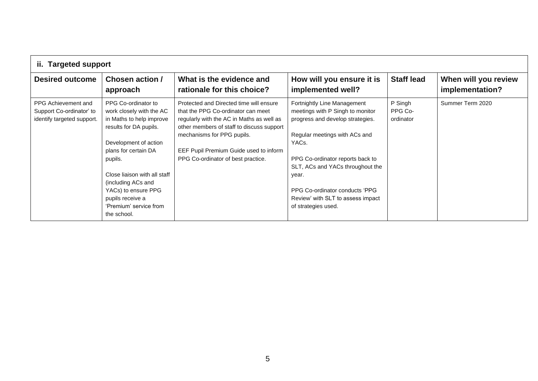|                                                                               | ii. Targeted support                                                                                                                                                                                                                                                                                        |                                                                                                                                                                                                                                                                                       |                                                                                                                                                                                                                                                                                                                                           |                                 |                                         |  |  |  |
|-------------------------------------------------------------------------------|-------------------------------------------------------------------------------------------------------------------------------------------------------------------------------------------------------------------------------------------------------------------------------------------------------------|---------------------------------------------------------------------------------------------------------------------------------------------------------------------------------------------------------------------------------------------------------------------------------------|-------------------------------------------------------------------------------------------------------------------------------------------------------------------------------------------------------------------------------------------------------------------------------------------------------------------------------------------|---------------------------------|-----------------------------------------|--|--|--|
| <b>Desired outcome</b>                                                        | Chosen action /<br>approach                                                                                                                                                                                                                                                                                 | What is the evidence and<br>rationale for this choice?                                                                                                                                                                                                                                | How will you ensure it is<br>implemented well?                                                                                                                                                                                                                                                                                            | <b>Staff lead</b>               | When will you review<br>implementation? |  |  |  |
| PPG Achievement and<br>Support Co-ordinator' to<br>identify targeted support. | PPG Co-ordinator to<br>work closely with the AC<br>in Maths to help improve<br>results for DA pupils.<br>Development of action<br>plans for certain DA<br>pupils.<br>Close liaison with all staff<br>(including ACs and<br>YACs) to ensure PPG<br>pupils receive a<br>'Premium' service from<br>the school. | Protected and Directed time will ensure<br>that the PPG Co-ordinator can meet<br>regularly with the AC in Maths as well as<br>other members of staff to discuss support<br>mechanisms for PPG pupils.<br>EEF Pupil Premium Guide used to inform<br>PPG Co-ordinator of best practice. | Fortnightly Line Management<br>meetings with P Singh to monitor<br>progress and develop strategies.<br>Regular meetings with ACs and<br>YAC <sub>s</sub> .<br>PPG Co-ordinator reports back to<br>SLT, ACs and YACs throughout the<br>year.<br>PPG Co-ordinator conducts 'PPG<br>Review' with SLT to assess impact<br>of strategies used. | P Singh<br>PPG Co-<br>ordinator | Summer Term 2020                        |  |  |  |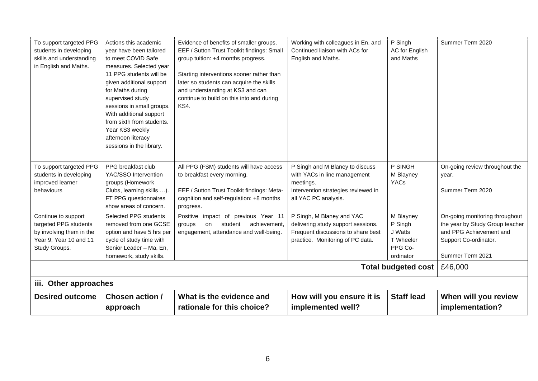| To support targeted PPG                           | Actions this academic                                 | Evidence of benefits of smaller groups.    | Working with colleagues in En. and                                       | P Singh                    | Summer Term 2020                                           |
|---------------------------------------------------|-------------------------------------------------------|--------------------------------------------|--------------------------------------------------------------------------|----------------------------|------------------------------------------------------------|
| students in developing                            | year have been tailored                               | EEF / Sutton Trust Toolkit findings: Small | Continued liaison with ACs for                                           | AC for English             |                                                            |
| skills and understanding                          | to meet COVID Safe                                    | group tuition: +4 months progress.         | English and Maths.                                                       | and Maths                  |                                                            |
| in English and Maths.                             | measures. Selected year                               |                                            |                                                                          |                            |                                                            |
|                                                   | 11 PPG students will be                               | Starting interventions sooner rather than  |                                                                          |                            |                                                            |
|                                                   | given additional support                              | later so students can acquire the skills   |                                                                          |                            |                                                            |
|                                                   | for Maths during                                      | and understanding at KS3 and can           |                                                                          |                            |                                                            |
|                                                   | supervised study                                      | continue to build on this into and during  |                                                                          |                            |                                                            |
|                                                   | sessions in small groups.                             | KS4.                                       |                                                                          |                            |                                                            |
|                                                   | With additional support                               |                                            |                                                                          |                            |                                                            |
|                                                   | from sixth from students.                             |                                            |                                                                          |                            |                                                            |
|                                                   | Year KS3 weekly                                       |                                            |                                                                          |                            |                                                            |
|                                                   | afternoon literacy                                    |                                            |                                                                          |                            |                                                            |
|                                                   | sessions in the library.                              |                                            |                                                                          |                            |                                                            |
|                                                   |                                                       |                                            |                                                                          |                            |                                                            |
| To support targeted PPG                           | PPG breakfast club                                    | All PPG (FSM) students will have access    | P Singh and M Blaney to discuss                                          | P SINGH                    | On-going review throughout the                             |
| students in developing                            | YAC/SSO Intervention                                  | to breakfast every morning.                | with YACs in line management                                             | M Blayney                  | year.                                                      |
| improved learner                                  | groups (Homework                                      |                                            | meetings.                                                                | <b>YACs</b>                |                                                            |
| behaviours                                        | Clubs, learning skills ).                             | EEF / Sutton Trust Toolkit findings: Meta- | Intervention strategies reviewed in                                      |                            | Summer Term 2020                                           |
|                                                   | FT PPG questionnaires                                 | cognition and self-regulation: +8 months   | all YAC PC analysis.                                                     |                            |                                                            |
|                                                   | show areas of concern.                                | progress.                                  |                                                                          |                            |                                                            |
| Continue to support                               | Selected PPG students                                 | Positive impact of previous Year 11        | P Singh, M Blaney and YAC                                                | M Blayney                  | On-going monitoring throughout                             |
| targeted PPG students<br>by involving them in the | removed from one GCSE                                 | achievement,<br>student<br>groups<br>on    | delivering study support sessions.<br>Frequent discussions to share best | P Singh<br>J Watts         | the year by Study Group teacher<br>and PPG Achievement and |
| Year 9, Year 10 and 11                            | option and have 5 hrs per<br>cycle of study time with | engagement, attendance and well-being.     | practice. Monitoring of PC data.                                         | T Wheeler                  | Support Co-ordinator.                                      |
| Study Groups.                                     | Senior Leader - Ma, En,                               |                                            |                                                                          | PPG Co-                    |                                                            |
|                                                   | homework, study skills.                               |                                            |                                                                          | ordinator                  | Summer Term 2021                                           |
|                                                   |                                                       |                                            |                                                                          |                            |                                                            |
|                                                   |                                                       |                                            |                                                                          | <b>Total budgeted cost</b> | £46,000                                                    |
| iii. Other approaches                             |                                                       |                                            |                                                                          |                            |                                                            |
| <b>Desired outcome</b>                            | Chosen action /                                       | What is the evidence and                   | How will you ensure it is                                                | <b>Staff lead</b>          | When will you review                                       |
|                                                   | approach                                              | rationale for this choice?                 | implemented well?                                                        |                            | implementation?                                            |
|                                                   |                                                       |                                            |                                                                          |                            |                                                            |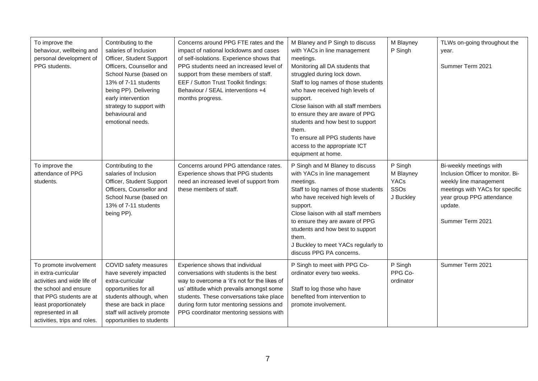| To improve the<br>behaviour, wellbeing and<br>personal development of<br>PPG students.                                                                                                                           | Contributing to the<br>salaries of Inclusion<br>Officer, Student Support<br>Officers, Counsellor and<br>School Nurse (based on<br>13% of 7-11 students<br>being PP). Delivering<br>early intervention<br>strategy to support with<br>behavioural and<br>emotional needs. | Concerns around PPG FTE rates and the<br>impact of national lockdowns and cases<br>of self-isolations. Experience shows that<br>PPG students need an increased level of<br>support from these members of staff.<br>EEF / Sutton Trust Toolkit findings:<br>Behaviour / SEAL interventions +4<br>months progress. | M Blaney and P Singh to discuss<br>with YACs in line management<br>meetings.<br>Monitoring all DA students that<br>struggled during lock down.<br>Staff to log names of those students<br>who have received high levels of<br>support.<br>Close liaison with all staff members<br>to ensure they are aware of PPG<br>students and how best to support<br>them.<br>To ensure all PPG students have<br>access to the appropriate ICT<br>equipment at home. | M Blayney<br>P Singh                                     | TLWs on-going throughout the<br>year.<br>Summer Term 2021                                                                                                                             |
|------------------------------------------------------------------------------------------------------------------------------------------------------------------------------------------------------------------|--------------------------------------------------------------------------------------------------------------------------------------------------------------------------------------------------------------------------------------------------------------------------|------------------------------------------------------------------------------------------------------------------------------------------------------------------------------------------------------------------------------------------------------------------------------------------------------------------|----------------------------------------------------------------------------------------------------------------------------------------------------------------------------------------------------------------------------------------------------------------------------------------------------------------------------------------------------------------------------------------------------------------------------------------------------------|----------------------------------------------------------|---------------------------------------------------------------------------------------------------------------------------------------------------------------------------------------|
| To improve the<br>attendance of PPG<br>students.                                                                                                                                                                 | Contributing to the<br>salaries of Inclusion<br>Officer, Student Support<br>Officers, Counsellor and<br>School Nurse (based on<br>13% of 7-11 students<br>being PP).                                                                                                     | Concerns around PPG attendance rates.<br>Experience shows that PPG students<br>need an increased level of support from<br>these members of staff.                                                                                                                                                                | P Singh and M Blaney to discuss<br>with YACs in line management<br>meetings.<br>Staff to log names of those students<br>who have received high levels of<br>support.<br>Close liaison with all staff members<br>to ensure they are aware of PPG<br>students and how best to support<br>them.<br>J Buckley to meet YACs regularly to<br>discuss PPG PA concerns.                                                                                          | P Singh<br>M Blayney<br>YACs<br><b>SSOs</b><br>J Buckley | Bi-weekly meetings with<br>Inclusion Officer to monitor. Bi-<br>weekly line management<br>meetings with YACs for specific<br>year group PPG attendance<br>update.<br>Summer Term 2021 |
| To promote involvement<br>in extra-curricular<br>activities and wide life of<br>the school and ensure<br>that PPG students are at<br>least proportionately<br>represented in all<br>activities, trips and roles. | COVID safety measures<br>have severely impacted<br>extra-curricular<br>opportunities for all<br>students although, when<br>these are back in place<br>staff will actively promote<br>opportunities to students                                                           | Experience shows that individual<br>conversations with students is the best<br>way to overcome a 'it's not for the likes of<br>us' attitude which prevails amongst some<br>students. These conversations take place<br>during form tutor mentoring sessions and<br>PPG coordinator mentoring sessions with       | P Singh to meet with PPG Co-<br>ordinator every two weeks.<br>Staff to log those who have<br>benefited from intervention to<br>promote involvement.                                                                                                                                                                                                                                                                                                      | P Singh<br>PPG Co-<br>ordinator                          | Summer Term 2021                                                                                                                                                                      |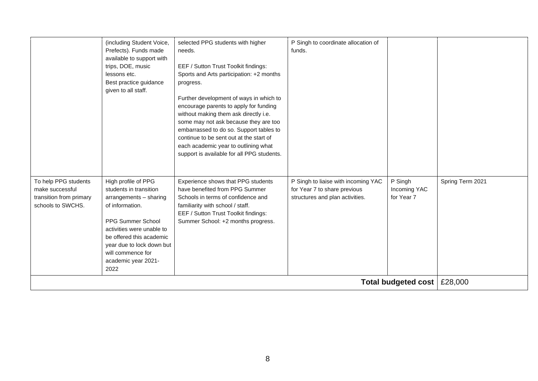|                                                                                         | (including Student Voice,<br>Prefects). Funds made<br>available to support with<br>trips, DOE, music<br>lessons etc.<br>Best practice guidance<br>given to all staff.                                                                                     | selected PPG students with higher<br>needs.<br>EEF / Sutton Trust Toolkit findings:<br>Sports and Arts participation: +2 months<br>progress.<br>Further development of ways in which to<br>encourage parents to apply for funding<br>without making them ask directly i.e.<br>some may not ask because they are too<br>embarrassed to do so. Support tables to<br>continue to be sent out at the start of<br>each academic year to outlining what<br>support is available for all PPG students. | P Singh to coordinate allocation of<br>funds.                                                          |                                       |                  |
|-----------------------------------------------------------------------------------------|-----------------------------------------------------------------------------------------------------------------------------------------------------------------------------------------------------------------------------------------------------------|-------------------------------------------------------------------------------------------------------------------------------------------------------------------------------------------------------------------------------------------------------------------------------------------------------------------------------------------------------------------------------------------------------------------------------------------------------------------------------------------------|--------------------------------------------------------------------------------------------------------|---------------------------------------|------------------|
| To help PPG students<br>make successful<br>transition from primary<br>schools to SWCHS. | High profile of PPG<br>students in transition<br>arrangements - sharing<br>of information.<br>PPG Summer School<br>activities were unable to<br>be offered this academic<br>year due to lock down but<br>will commence for<br>academic year 2021-<br>2022 | Experience shows that PPG students<br>have benefited from PPG Summer<br>Schools in terms of confidence and<br>familiarity with school / staff.<br>EEF / Sutton Trust Toolkit findings:<br>Summer School: +2 months progress.                                                                                                                                                                                                                                                                    | P Singh to liaise with incoming YAC<br>for Year 7 to share previous<br>structures and plan activities. | P Singh<br>Incoming YAC<br>for Year 7 | Spring Term 2021 |
|                                                                                         |                                                                                                                                                                                                                                                           |                                                                                                                                                                                                                                                                                                                                                                                                                                                                                                 |                                                                                                        | Total budgeted cost                   | £28,000          |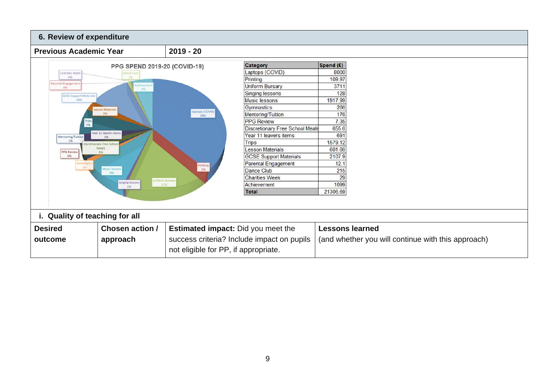| 6. Review of expenditure         |                                                  |                                      |                                            |                                                    |  |
|----------------------------------|--------------------------------------------------|--------------------------------------|--------------------------------------------|----------------------------------------------------|--|
| <b>Previous Academic Year</b>    |                                                  | $2019 - 20$                          |                                            |                                                    |  |
|                                  | PPG SPEND 2019-20 (COVID-19)                     |                                      | Category                                   | Spend (£)                                          |  |
| Charities Week                   | ance Club                                        |                                      | Laptops (COVID)                            | 8000                                               |  |
| 0%                               | 1%                                               |                                      | Printing                                   | 109.97                                             |  |
| Parental Engagemen<br>0%         | hieveme<br>5%                                    |                                      | <b>Uniform Bursary</b>                     | 3711                                               |  |
| <b>GCSE Support Material</b>     |                                                  |                                      | Singing lessons                            | 128                                                |  |
| 10%                              |                                                  |                                      | <b>Music lessons</b>                       | 1917.99                                            |  |
|                                  | Lesson Materials                                 | aptops (COVID)                       | Gymnastics                                 | 266                                                |  |
|                                  | 3%                                               | 38%                                  | Mentoring/Tuition                          | 176                                                |  |
| 7%                               |                                                  |                                      | <b>PPG</b> Review                          | 7.35                                               |  |
|                                  | Year 11 leavers items                            |                                      | <b>Discretionary Free School Meals</b>     | 655.6                                              |  |
| Mentoring/Tuition                | 3%                                               |                                      | Year 11 leavers items                      | 691                                                |  |
| 1%<br>scretionary Free Schoo     |                                                  |                                      | <b>Trips</b>                               | 1579.12                                            |  |
| Meals<br><b>PPG Review</b><br>3% |                                                  |                                      | <b>Lesson Materials</b>                    | 601.66                                             |  |
| 0%                               |                                                  |                                      | <b>GCSE Support Materials</b>              | 2107.9                                             |  |
| Gymnastic<br>1%                  |                                                  | Printing                             | Parental Engagement                        | 12.1                                               |  |
|                                  | Music lessons<br>9%                              | 1%                                   | Dance Club                                 | 215                                                |  |
|                                  | <b>Uniform Bursary</b><br><b>Singing lessons</b> |                                      | <b>Charities Week</b>                      | 29                                                 |  |
|                                  | 17%<br>1%                                        |                                      | Achievement                                | 1099                                               |  |
|                                  |                                                  |                                      | <b>Total</b>                               | 21306.69                                           |  |
|                                  |                                                  |                                      |                                            |                                                    |  |
| i. Quality of teaching for all   |                                                  |                                      |                                            |                                                    |  |
| <b>Desired</b>                   | Chosen action /                                  |                                      | <b>Estimated impact:</b> Did you meet the  | <b>Lessons learned</b>                             |  |
| outcome                          | approach                                         |                                      | success criteria? Include impact on pupils | (and whether you will continue with this approach) |  |
|                                  |                                                  |                                      |                                            |                                                    |  |
|                                  |                                                  | not eligible for PP, if appropriate. |                                            |                                                    |  |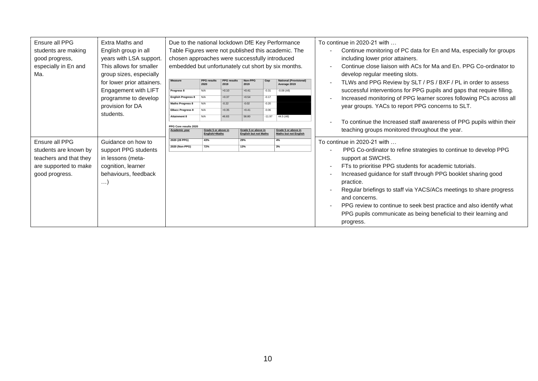| Ensure all PPG         | Extra Maths and            | Due to the national lockdown DfE Key Performance    |                            |                            |                              |          |                                               |                          | To continue in 2020-21 with                                            |
|------------------------|----------------------------|-----------------------------------------------------|----------------------------|----------------------------|------------------------------|----------|-----------------------------------------------|--------------------------|------------------------------------------------------------------------|
| students are making    | English group in all       | Table Figures were not published this academic. The |                            |                            |                              |          |                                               | $\blacksquare$           | Continue monitoring of PC data for En and Ma, especially for groups    |
| good progress,         | years with LSA support.    | chosen approaches were successfully introduced      |                            |                            |                              |          |                                               |                          | including lower prior attainers.                                       |
| especially in En and   | This allows for smaller    | embedded but unfortunately cut short by six months. |                            |                            |                              |          |                                               | $\blacksquare$           | Continue close liaison with ACs for Ma and En. PPG Co-ordinator to     |
| Ma.                    | group sizes, especially    |                                                     |                            |                            |                              |          |                                               |                          | develop regular meeting slots.                                         |
|                        | for lower prior attainers. | <b>Measure</b>                                      | <b>PPG results</b><br>2020 | <b>PPG</b> results<br>2019 | Non-PPG<br>2019              | Gap      | <b>National (Provisional)</b><br>Average 2019 |                          | TLWs and PPG Review by SLT / PS / BXF / PL in order to assess          |
|                        | Engagement with LIFT       | Progress 8                                          | N/A                        | $+0.10$                    | $+0.41$                      | $-0.31$  | $-0.08$ (All)                                 |                          | successful interventions for PPG pupils and gaps that require filling. |
|                        | programme to develop       | <b>English Progress 8</b>                           | N/A                        | $+0.37$                    | $+0.54$                      | $-0.17$  |                                               |                          | Increased monitoring of PPG learner scores following PCs across all    |
|                        | provision for DA           | <b>Maths Progress 8</b>                             | N/A                        | $-0.22$                    | $-0.02$                      | $-0.20$  |                                               |                          | year groups. YACs to report PPG concerns to SLT.                       |
|                        | students.                  | <b>EBacc Progress 8</b>                             | N/A                        | $+0.35$                    | $+0.41$                      | $-0.06$  |                                               |                          |                                                                        |
|                        |                            | <b>Attainment 8</b>                                 | N/A                        | 46.83                      | 58.80                        | $-11.97$ | $44.5$ (All)                                  | ٠                        | To continue the Increased staff awareness of PPG pupils within their   |
|                        |                            | PPG Core results 2020<br>Academic year              | Grade 5 or above in        |                            | Grade 5 or above in          |          | Grade 5 or above in                           |                          | teaching groups monitored throughout the year.                         |
|                        |                            |                                                     | English/+Maths             |                            | <b>English but not Maths</b> |          | <b>Maths but not English</b>                  |                          |                                                                        |
|                        |                            |                                                     |                            |                            |                              |          |                                               |                          |                                                                        |
| Ensure all PPG         | Guidance on how to         | 2020 (28 PPG)                                       | 43%                        |                            | 29%                          |          | 4%                                            |                          | To continue in 2020-21 with                                            |
| students are known by  | support PPG students       | 2020 (Non-PPG)                                      | 72%                        |                            | 13%                          |          | 3%                                            |                          | PPG Co-ordinator to refine strategies to continue to develop PPG       |
|                        |                            |                                                     |                            |                            |                              |          |                                               |                          |                                                                        |
| teachers and that they | in lessons (meta-          |                                                     |                            |                            |                              |          |                                               | $\overline{\phantom{a}}$ | support at SWCHS.                                                      |
| are supported to make  | cognition, learner         |                                                     |                            |                            |                              |          |                                               | $\overline{\phantom{a}}$ | FTs to prioritise PPG students for academic tutorials.                 |
| good progress.         | behaviours, feedback       |                                                     |                            |                            |                              |          |                                               |                          | Increased guidance for staff through PPG booklet sharing good          |
|                        | $\ldots$ )                 |                                                     |                            |                            |                              |          |                                               |                          | practice.                                                              |
|                        |                            |                                                     |                            |                            |                              |          |                                               |                          | Regular briefings to staff via YACS/ACs meetings to share progress     |
|                        |                            |                                                     |                            |                            |                              |          |                                               |                          | and concerns.                                                          |
|                        |                            |                                                     |                            |                            |                              |          |                                               |                          | PPG review to continue to seek best practice and also identify what    |
|                        |                            |                                                     |                            |                            |                              |          |                                               |                          | PPG pupils communicate as being beneficial to their learning and       |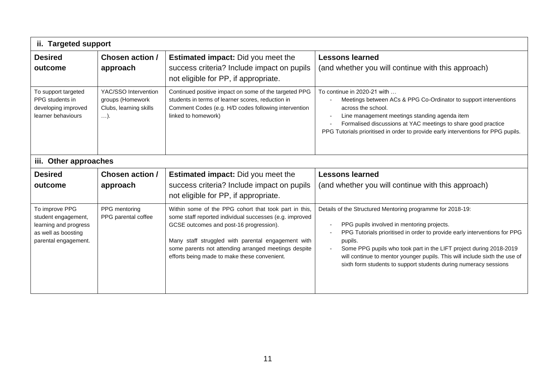| ii. Targeted support                                                                                            |                                                                                   |                                                                                                                                                                                                                                                                                                                           |                                                                                                                                                                                                                                                                                                                                                                                                                          |
|-----------------------------------------------------------------------------------------------------------------|-----------------------------------------------------------------------------------|---------------------------------------------------------------------------------------------------------------------------------------------------------------------------------------------------------------------------------------------------------------------------------------------------------------------------|--------------------------------------------------------------------------------------------------------------------------------------------------------------------------------------------------------------------------------------------------------------------------------------------------------------------------------------------------------------------------------------------------------------------------|
| <b>Desired</b><br>outcome                                                                                       | Chosen action /<br>approach                                                       | <b>Estimated impact:</b> Did you meet the<br>success criteria? Include impact on pupils<br>not eligible for PP, if appropriate.                                                                                                                                                                                           | <b>Lessons learned</b><br>(and whether you will continue with this approach)                                                                                                                                                                                                                                                                                                                                             |
| To support targeted<br>PPG students in<br>developing improved<br>learner behaviours<br>Other approaches<br>iii. | YAC/SSO Intervention<br>groups (Homework<br>Clubs, learning skills<br>$\ldots$ ). | Continued positive impact on some of the targeted PPG<br>students in terms of learner scores, reduction in<br>Comment Codes (e.g. H/D codes following intervention<br>linked to homework)                                                                                                                                 | To continue in 2020-21 with<br>Meetings between ACs & PPG Co-Ordinator to support interventions<br>across the school.<br>Line management meetings standing agenda item<br>Formalised discussions at YAC meetings to share good practice<br>PPG Tutorials prioritised in order to provide early interventions for PPG pupils.                                                                                             |
| <b>Desired</b>                                                                                                  | Chosen action /                                                                   | <b>Estimated impact:</b> Did you meet the                                                                                                                                                                                                                                                                                 | <b>Lessons learned</b>                                                                                                                                                                                                                                                                                                                                                                                                   |
| outcome                                                                                                         | approach                                                                          | success criteria? Include impact on pupils<br>not eligible for PP, if appropriate.                                                                                                                                                                                                                                        | (and whether you will continue with this approach)                                                                                                                                                                                                                                                                                                                                                                       |
| To improve PPG<br>student engagement,<br>learning and progress<br>as well as boosting<br>parental engagement.   | PPG mentoring<br>PPG parental coffee                                              | Within some of the PPG cohort that took part in this,<br>some staff reported individual successes (e.g. improved<br>GCSE outcomes and post-16 progression).<br>Many staff struggled with parental engagement with<br>some parents not attending arranged meetings despite<br>efforts being made to make these convenient. | Details of the Structured Mentoring programme for 2018-19:<br>PPG pupils involved in mentoring projects.<br>PPG Tutorials prioritised in order to provide early interventions for PPG<br>pupils.<br>Some PPG pupils who took part in the LIFT project during 2018-2019<br>will continue to mentor younger pupils. This will include sixth the use of<br>sixth form students to support students during numeracy sessions |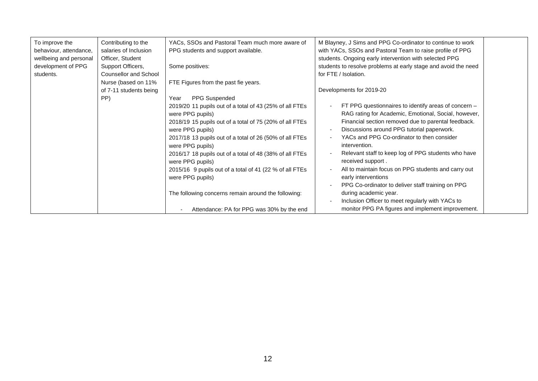| To improve the         | Contributing to the          | YACs, SSOs and Pastoral Team much more aware of         | M Blayney, J Sims and PPG Co-ordinator to continue to work             |
|------------------------|------------------------------|---------------------------------------------------------|------------------------------------------------------------------------|
| behaviour, attendance, | salaries of Inclusion        | PPG students and support available.                     | with YACs, SSOs and Pastoral Team to raise profile of PPG              |
| wellbeing and personal | Officer, Student             |                                                         | students. Ongoing early intervention with selected PPG                 |
| development of PPG     | Support Officers,            | Some positives:                                         | students to resolve problems at early stage and avoid the need         |
| students.              | <b>Counsellor and School</b> |                                                         | for FTE / Isolation.                                                   |
|                        | Nurse (based on 11%          | FTE Figures from the past fie years.                    |                                                                        |
|                        | of 7-11 students being       |                                                         | Developments for 2019-20                                               |
|                        | PP)                          | PPG Suspended<br>Year                                   |                                                                        |
|                        |                              | 2019/20 11 pupils out of a total of 43 (25% of all FTEs | FT PPG questionnaires to identify areas of concern -                   |
|                        |                              | were PPG pupils)                                        | RAG rating for Academic, Emotional, Social, however,                   |
|                        |                              | 2018/19 15 pupils out of a total of 75 (20% of all FTEs | Financial section removed due to parental feedback.                    |
|                        |                              | were PPG pupils)                                        | Discussions around PPG tutorial paperwork.<br>$\overline{\phantom{a}}$ |
|                        |                              | 2017/18 13 pupils out of a total of 26 (50% of all FTEs | YACs and PPG Co-ordinator to then consider                             |
|                        |                              | were PPG pupils)                                        | intervention.                                                          |
|                        |                              | 2016/17 18 pupils out of a total of 48 (38% of all FTEs | Relevant staff to keep log of PPG students who have                    |
|                        |                              | were PPG pupils)                                        | received support.                                                      |
|                        |                              | 2015/16 9 pupils out of a total of 41 (22 % of all FTEs | All to maintain focus on PPG students and carry out                    |
|                        |                              | were PPG pupils)                                        | early interventions                                                    |
|                        |                              |                                                         | PPG Co-ordinator to deliver staff training on PPG                      |
|                        |                              | The following concerns remain around the following:     | during academic year.                                                  |
|                        |                              |                                                         | Inclusion Officer to meet regularly with YACs to                       |
|                        |                              | Attendance: PA for PPG was 30% by the end               | monitor PPG PA figures and implement improvement.                      |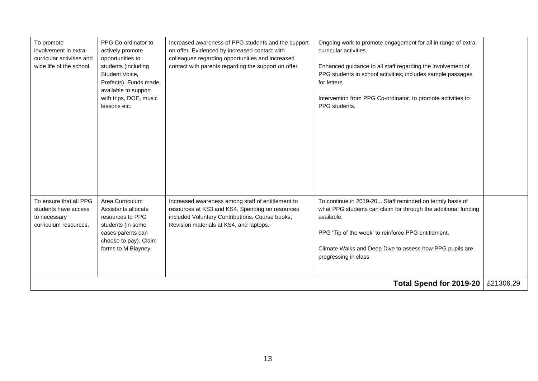| To promote<br>involvement in extra-<br>curricular activities and<br>wide life of the school. | PPG Co-ordinator to<br>actively promote<br>opportunities to<br>students (including<br>Student Voice,<br>Prefects). Funds made<br>available to support<br>with trips, DOE, music<br>lessons etc. | Increased awareness of PPG students and the support<br>on offer. Evidenced by increased contact with<br>colleagues regarding opportunities and increased<br>contact with parents regarding the support on offer. | Ongoing work to promote engagement for all in range of extra-<br>curricular activities.<br>Enhanced guidance to all staff regarding the involvement of<br>PPG students in school activities; includes sample passages<br>for letters.<br>Intervention from PPG Co-ordinator, to promote activities to<br>PPG students. |           |
|----------------------------------------------------------------------------------------------|-------------------------------------------------------------------------------------------------------------------------------------------------------------------------------------------------|------------------------------------------------------------------------------------------------------------------------------------------------------------------------------------------------------------------|------------------------------------------------------------------------------------------------------------------------------------------------------------------------------------------------------------------------------------------------------------------------------------------------------------------------|-----------|
| To ensure that all PPG<br>students have access<br>to necessary<br>curriculum resources.      | Area Curriculum<br>Assistants allocate<br>resources to PPG<br>students (in some<br>cases parents can<br>choose to pay). Claim<br>forms to M Blayney.                                            | Increased awareness among staff of entitlement to<br>resources at KS3 and KS4. Spending on resources<br>included Voluntary Contributions, Course books,<br>Revision materials at KS4, and laptops.               | To continue in 2019-20 Staff reminded on termly basis of<br>what PPG students can claim for through the additional funding<br>available.<br>PPG 'Tip of the week' to reinforce PPG entitlement.<br>Climate Walks and Deep Dive to assess how PPG pupils are<br>progressing in class                                    |           |
| Total Spend for 2019-20                                                                      |                                                                                                                                                                                                 |                                                                                                                                                                                                                  |                                                                                                                                                                                                                                                                                                                        | £21306.29 |